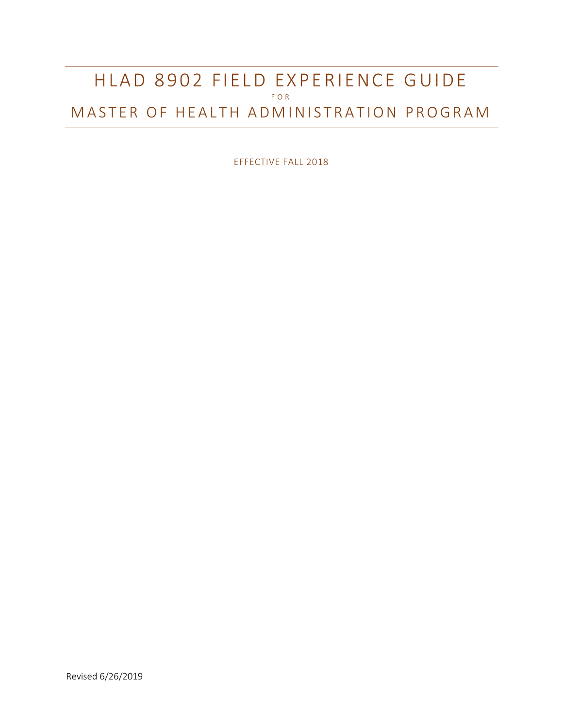# HLAD 8902 FIELD EXPERIENCE GUIDE F O R MASTER OF HEALTH ADMINISTRATION PROGRAM

EFFECTIVE FALL 2018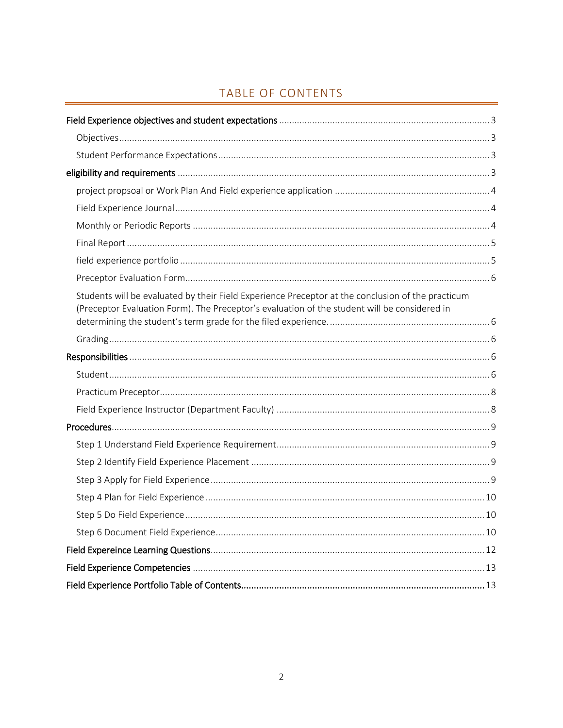# TABLE OF CONTENTS

| Students will be evaluated by their Field Experience Preceptor at the conclusion of the practicum<br>(Preceptor Evaluation Form). The Preceptor's evaluation of the student will be considered in |
|---------------------------------------------------------------------------------------------------------------------------------------------------------------------------------------------------|
|                                                                                                                                                                                                   |
|                                                                                                                                                                                                   |
|                                                                                                                                                                                                   |
|                                                                                                                                                                                                   |
|                                                                                                                                                                                                   |
|                                                                                                                                                                                                   |
|                                                                                                                                                                                                   |
|                                                                                                                                                                                                   |
|                                                                                                                                                                                                   |
|                                                                                                                                                                                                   |
|                                                                                                                                                                                                   |
|                                                                                                                                                                                                   |
|                                                                                                                                                                                                   |
|                                                                                                                                                                                                   |
|                                                                                                                                                                                                   |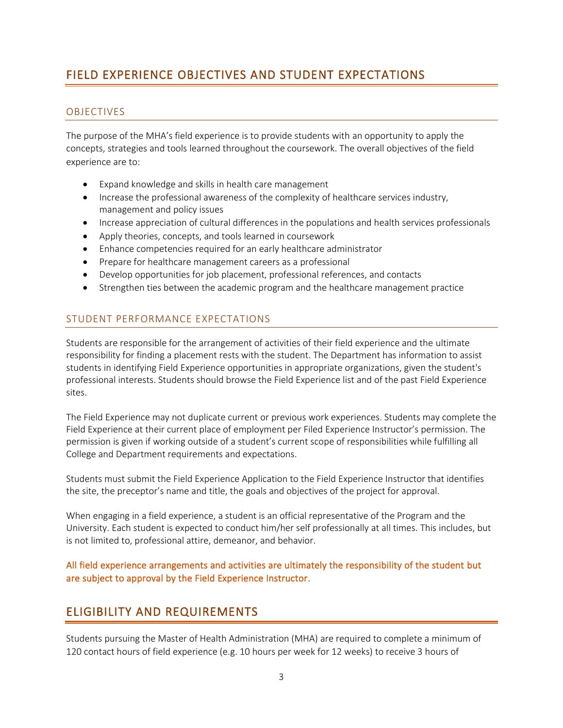# <span id="page-2-0"></span>FIELD EXPERIENCE OBJECTIVES AND STUDENT EXPECTATIONS

### <span id="page-2-1"></span>OBJECTIVES

The purpose of the MHA's field experience is to provide students with an opportunity to apply the concepts, strategies and tools learned throughout the coursework. The overall objectives of the field experience are to:

- Expand knowledge and skills in health care management
- Increase the professional awareness of the complexity of healthcare services industry, management and policy issues
- Increase appreciation of cultural differences in the populations and health services professionals
- Apply theories, concepts, and tools learned in coursework
- Enhance competencies required for an early healthcare administrator
- Prepare for healthcare management careers as a professional
- Develop opportunities for job placement, professional references, and contacts
- Strengthen ties between the academic program and the healthcare management practice

## <span id="page-2-2"></span>STUDENT PERFORMANCE EXPECTATIONS

Students are responsible for the arrangement of activities of their field experience and the ultimate responsibility for finding a placement rests with the student. The Department has information to assist students in identifying Field Experience opportunities in appropriate organizations, given the student's professional interests. Students should browse the Field Experience list and of the past Field Experience sites.

The Field Experience may not duplicate current or previous work experiences. Students may complete the Field Experience at their current place of employment per Filed Experience Instructor's permission. The permission is given if working outside of a student's current scope of responsibilities while fulfilling all College and Department requirements and expectations.

Students must submit the Field Experience Application to the Field Experience Instructor that identifies the site, the preceptor's name and title, the goals and objectives of the project for approval.

When engaging in a field experience, a student is an official representative of the Program and the University. Each student is expected to conduct him/her self professionally at all times. This includes, but is not limited to, professional attire, demeanor, and behavior.

All field experience arrangements and activities are ultimately the responsibility of the student but are subject to approval by the Field Experience Instructor.

## <span id="page-2-3"></span>ELIGIBILITY AND REQUIREMENTS

Students pursuing the Master of Health Administration (MHA) are required to complete a minimum of 120 contact hours of field experience (e.g. 10 hours per week for 12 weeks) to receive 3 hours of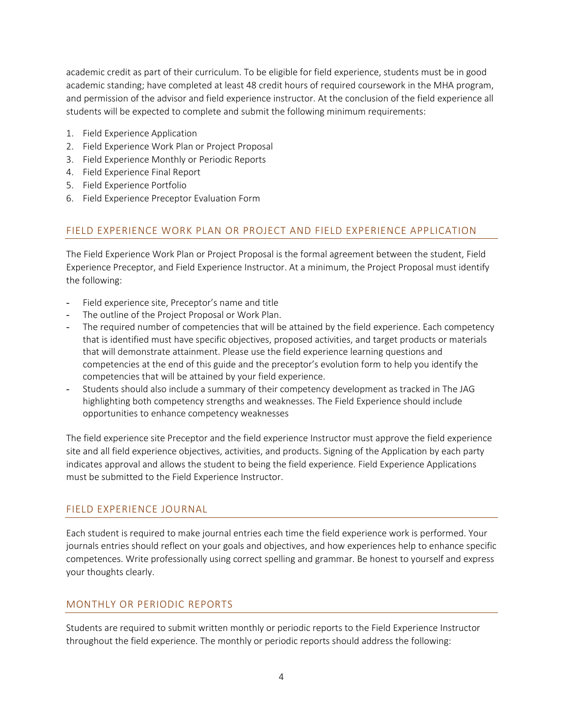academic credit as part of their curriculum. To be eligible for field experience, students must be in good academic standing; have completed at least 48 credit hours of required coursework in the MHA program, and permission of the advisor and field experience instructor. At the conclusion of the field experience all students will be expected to complete and submit the following minimum requirements:

- 1. Field Experience Application
- 2. Field Experience Work Plan or Project Proposal
- 3. Field Experience Monthly or Periodic Reports
- 4. Field Experience Final Report
- 5. Field Experience Portfolio
- 6. Field Experience Preceptor Evaluation Form

## <span id="page-3-0"></span>FIELD EXPERIENCE WORK PLAN OR PROJECT AND FIELD EXPERIENCE APPLICATION

The Field Experience Work Plan or Project Proposal is the formal agreement between the student, Field Experience Preceptor, and Field Experience Instructor. At a minimum, the Project Proposal must identify the following:

- Field experience site, Preceptor's name and title
- The outline of the Project Proposal or Work Plan.
- The required number of competencies that will be attained by the field experience. Each competency that is identified must have specific objectives, proposed activities, and target products or materials that will demonstrate attainment. Please use the field experience learning questions and competencies at the end of this guide and the preceptor's evolution form to help you identify the competencies that will be attained by your field experience.
- Students should also include a summary of their competency development as tracked in The JAG highlighting both competency strengths and weaknesses. The Field Experience should include opportunities to enhance competency weaknesses

The field experience site Preceptor and the field experience Instructor must approve the field experience site and all field experience objectives, activities, and products. Signing of the Application by each party indicates approval and allows the student to being the field experience. Field Experience Applications must be submitted to the Field Experience Instructor.

### <span id="page-3-1"></span>FIELD EXPERIENCE JOURNAL

Each student is required to make journal entries each time the field experience work is performed. Your journals entries should reflect on your goals and objectives, and how experiences help to enhance specific competences. Write professionally using correct spelling and grammar. Be honest to yourself and express your thoughts clearly.

### <span id="page-3-2"></span>MONTHLY OR PERIODIC REPORTS

Students are required to submit written monthly or periodic reports to the Field Experience Instructor throughout the field experience. The monthly or periodic reports should address the following: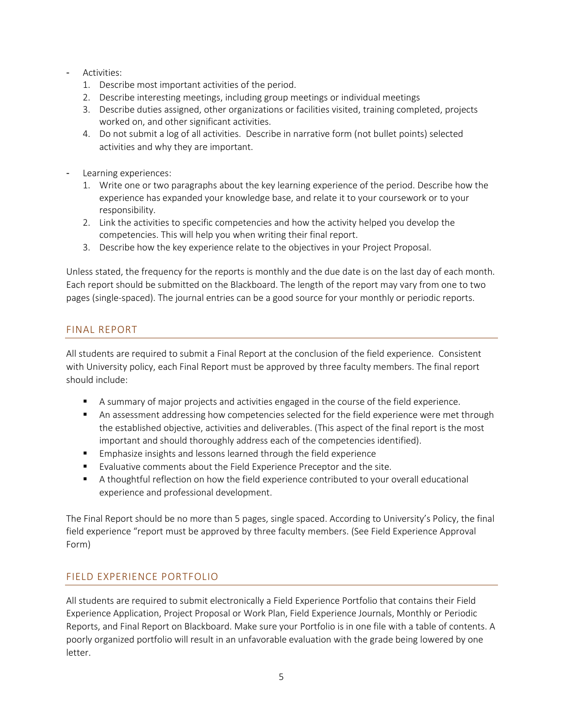- Activities:
	- 1. Describe most important activities of the period.
	- 2. Describe interesting meetings, including group meetings or individual meetings
	- 3. Describe duties assigned, other organizations or facilities visited, training completed, projects worked on, and other significant activities.
	- 4. Do not submit a log of all activities. Describe in narrative form (not bullet points) selected activities and why they are important.
- Learning experiences:
	- 1. Write one or two paragraphs about the key learning experience of the period. Describe how the experience has expanded your knowledge base, and relate it to your coursework or to your responsibility.
	- 2. Link the activities to specific competencies and how the activity helped you develop the competencies. This will help you when writing their final report.
	- 3. Describe how the key experience relate to the objectives in your Project Proposal.

Unless stated, the frequency for the reports is monthly and the due date is on the last day of each month. Each report should be submitted on the Blackboard. The length of the report may vary from one to two pages (single-spaced). The journal entries can be a good source for your monthly or periodic reports.

### <span id="page-4-0"></span>FINAL REPORT

All students are required to submit a Final Report at the conclusion of the field experience. Consistent with University policy, each Final Report must be approved by three faculty members. The final report should include:

- A summary of major projects and activities engaged in the course of the field experience.
- **A** An assessment addressing how competencies selected for the field experience were met through the established objective, activities and deliverables. (This aspect of the final report is the most important and should thoroughly address each of the competencies identified).
- **Emphasize insights and lessons learned through the field experience**
- Evaluative comments about the Field Experience Preceptor and the site.
- A thoughtful reflection on how the field experience contributed to your overall educational experience and professional development.

The Final Report should be no more than 5 pages, single spaced. According to University's Policy, the final field experience "report must be approved by three faculty members. (See Field Experience Approval Form)

## <span id="page-4-1"></span>FIELD EXPERIENCE PORTFOLIO

All students are required to submit electronically a Field Experience Portfolio that contains their Field Experience Application, Project Proposal or Work Plan, Field Experience Journals, Monthly or Periodic Reports, and Final Report on Blackboard. Make sure your Portfolio is in one file with a table of contents. A poorly organized portfolio will result in an unfavorable evaluation with the grade being lowered by one letter.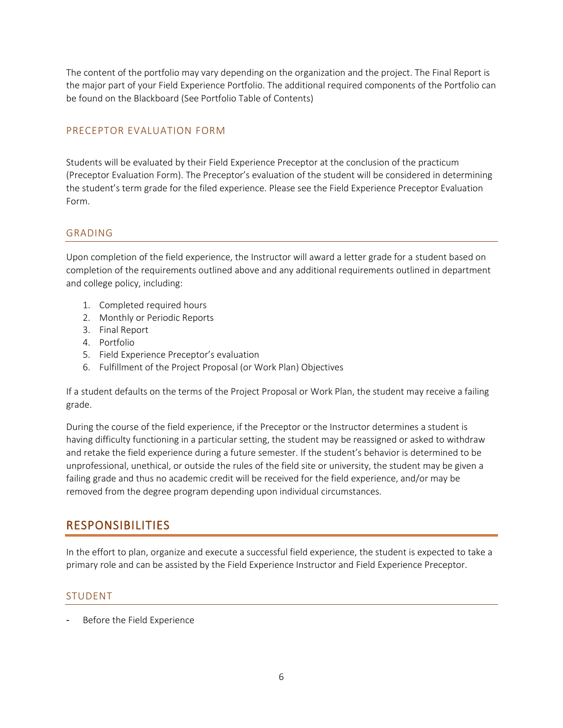The content of the portfolio may vary depending on the organization and the project. The Final Report is the major part of your Field Experience Portfolio. The additional required components of the Portfolio can be found on the Blackboard (See Portfolio Table of Contents)

### <span id="page-5-0"></span>PRECEPTOR EVALUATION FORM

<span id="page-5-1"></span>Students will be evaluated by their Field Experience Preceptor at the conclusion of the practicum (Preceptor Evaluation Form). The Preceptor's evaluation of the student will be considered in determining the student's term grade for the filed experience. Please see the Field Experience Preceptor Evaluation Form.

### <span id="page-5-2"></span>GRADING

Upon completion of the field experience, the Instructor will award a letter grade for a student based on completion of the requirements outlined above and any additional requirements outlined in department and college policy, including:

- 1. Completed required hours
- 2. Monthly or Periodic Reports
- 3. Final Report
- 4. Portfolio
- 5. Field Experience Preceptor's evaluation
- 6. Fulfillment of the Project Proposal (or Work Plan) Objectives

If a student defaults on the terms of the Project Proposal or Work Plan, the student may receive a failing grade.

During the course of the field experience, if the Preceptor or the Instructor determines a student is having difficulty functioning in a particular setting, the student may be reassigned or asked to withdraw and retake the field experience during a future semester. If the student's behavior is determined to be unprofessional, unethical, or outside the rules of the field site or university, the student may be given a failing grade and thus no academic credit will be received for the field experience, and/or may be removed from the degree program depending upon individual circumstances.

# <span id="page-5-3"></span>RESPONSIBILITIES

In the effort to plan, organize and execute a successful field experience, the student is expected to take a primary role and can be assisted by the Field Experience Instructor and Field Experience Preceptor.

## <span id="page-5-4"></span>STUDENT

Before the Field Experience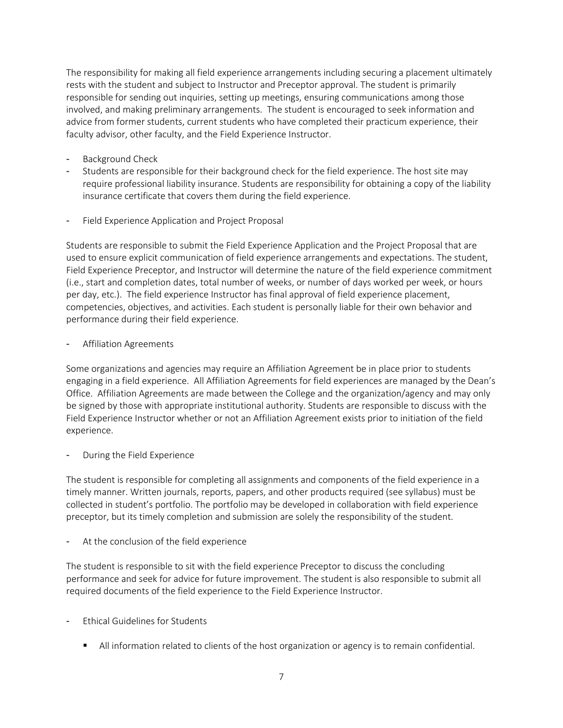The responsibility for making all field experience arrangements including securing a placement ultimately rests with the student and subject to Instructor and Preceptor approval. The student is primarily responsible for sending out inquiries, setting up meetings, ensuring communications among those involved, and making preliminary arrangements. The student is encouraged to seek information and advice from former students, current students who have completed their practicum experience, their faculty advisor, other faculty, and the Field Experience Instructor.

- Background Check
- Students are responsible for their background check for the field experience. The host site may require professional liability insurance. Students are responsibility for obtaining a copy of the liability insurance certificate that covers them during the field experience.
- Field Experience Application and Project Proposal

Students are responsible to submit the Field Experience Application and the Project Proposal that are used to ensure explicit communication of field experience arrangements and expectations. The student, Field Experience Preceptor, and Instructor will determine the nature of the field experience commitment (i.e., start and completion dates, total number of weeks, or number of days worked per week, or hours per day, etc.). The field experience Instructor has final approval of field experience placement, competencies, objectives, and activities. Each student is personally liable for their own behavior and performance during their field experience.

#### Affiliation Agreements

Some organizations and agencies may require an Affiliation Agreement be in place prior to students engaging in a field experience. All Affiliation Agreements for field experiences are managed by the Dean's Office. Affiliation Agreements are made between the College and the organization/agency and may only be signed by those with appropriate institutional authority. Students are responsible to discuss with the Field Experience Instructor whether or not an Affiliation Agreement exists prior to initiation of the field experience.

During the Field Experience

The student is responsible for completing all assignments and components of the field experience in a timely manner. Written journals, reports, papers, and other products required (see syllabus) must be collected in student's portfolio. The portfolio may be developed in collaboration with field experience preceptor, but its timely completion and submission are solely the responsibility of the student.

At the conclusion of the field experience

The student is responsible to sit with the field experience Preceptor to discuss the concluding performance and seek for advice for future improvement. The student is also responsible to submit all required documents of the field experience to the Field Experience Instructor.

- Ethical Guidelines for Students
	- **IXCO** All information related to clients of the host organization or agency is to remain confidential.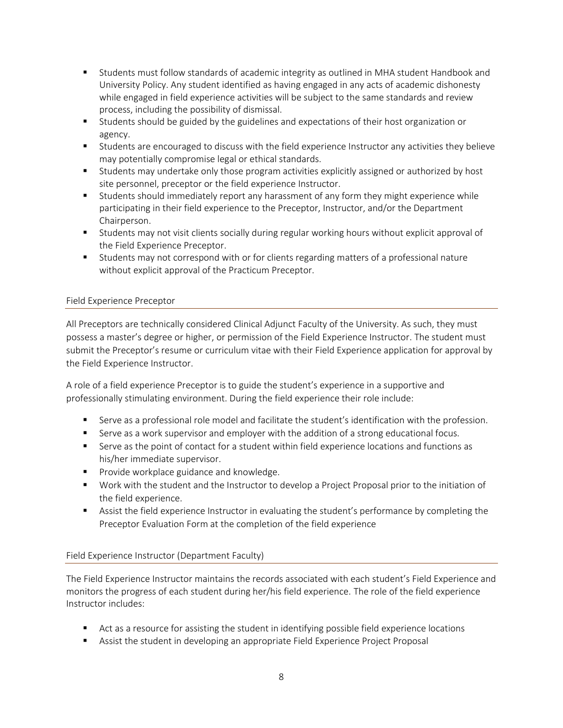- Students must follow standards of academic integrity as outlined in MHA student Handbook and University Policy. Any student identified as having engaged in any acts of academic dishonesty while engaged in field experience activities will be subject to the same standards and review process, including the possibility of dismissal.
- Students should be guided by the guidelines and expectations of their host organization or agency.
- Students are encouraged to discuss with the field experience Instructor any activities they believe may potentially compromise legal or ethical standards.
- Students may undertake only those program activities explicitly assigned or authorized by host site personnel, preceptor or the field experience Instructor.
- Students should immediately report any harassment of any form they might experience while participating in their field experience to the Preceptor, Instructor, and/or the Department Chairperson.
- Students may not visit clients socially during regular working hours without explicit approval of the Field Experience Preceptor.
- Students may not correspond with or for clients regarding matters of a professional nature without explicit approval of the Practicum Preceptor.

### <span id="page-7-0"></span>Field Experience Preceptor

All Preceptors are technically considered Clinical Adjunct Faculty of the University. As such, they must possess a master's degree or higher, or permission of the Field Experience Instructor. The student must submit the Preceptor's resume or curriculum vitae with their Field Experience application for approval by the Field Experience Instructor.

A role of a field experience Preceptor is to guide the student's experience in a supportive and professionally stimulating environment. During the field experience their role include:

- **Serve as a professional role model and facilitate the student's identification with the profession.**
- **Serve as a work supervisor and employer with the addition of a strong educational focus.**
- Serve as the point of contact for a student within field experience locations and functions as his/her immediate supervisor.
- **Provide workplace guidance and knowledge.**
- Work with the student and the Instructor to develop a Project Proposal prior to the initiation of the field experience.
- **EXECT Assist the field experience Instructor in evaluating the student's performance by completing the** Preceptor Evaluation Form at the completion of the field experience

### <span id="page-7-1"></span>Field Experience Instructor (Department Faculty)

The Field Experience Instructor maintains the records associated with each student's Field Experience and monitors the progress of each student during her/his field experience. The role of the field experience Instructor includes:

- Act as a resource for assisting the student in identifying possible field experience locations
- **EXECT** Assist the student in developing an appropriate Field Experience Project Proposal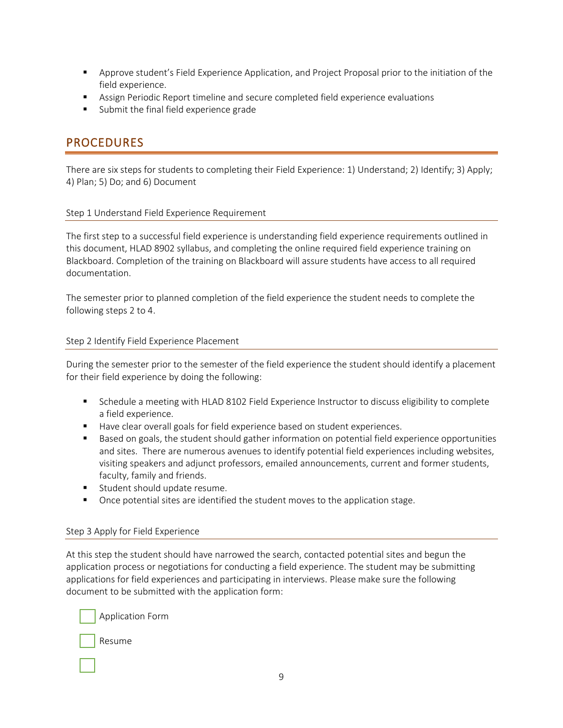- **EXP** Approve student's Field Experience Application, and Project Proposal prior to the initiation of the field experience.
- Assign Periodic Report timeline and secure completed field experience evaluations
- Submit the final field experience grade

## <span id="page-8-0"></span>PROCEDURES

There are six steps for students to completing their Field Experience: 1) Understand; 2) Identify; 3) Apply; 4) Plan; 5) Do; and 6) Document

#### <span id="page-8-1"></span>Step 1 Understand Field Experience Requirement

The first step to a successful field experience is understanding field experience requirements outlined in this document, HLAD 8902 syllabus, and completing the online required field experience training on Blackboard. Completion of the training on Blackboard will assure students have access to all required documentation.

The semester prior to planned completion of the field experience the student needs to complete the following steps 2 to 4.

#### <span id="page-8-2"></span>Step 2 Identify Field Experience Placement

During the semester prior to the semester of the field experience the student should identify a placement for their field experience by doing the following:

- **Schedule a meeting with HLAD 8102 Field Experience Instructor to discuss eligibility to complete** a field experience.
- Have clear overall goals for field experience based on student experiences.
- **Based on goals, the student should gather information on potential field experience opportunities** and sites. There are numerous avenues to identify potential field experiences including websites, visiting speakers and adjunct professors, emailed announcements, current and former students, faculty, family and friends.
- **Student should update resume.**
- **•** Once potential sites are identified the student moves to the application stage.

#### <span id="page-8-3"></span>Step 3 Apply for Field Experience

At this step the student should have narrowed the search, contacted potential sites and begun the application process or negotiations for conducting a field experience. The student may be submitting applications for field experiences and participating in interviews. Please make sure the following document to be submitted with the application form:

Application Form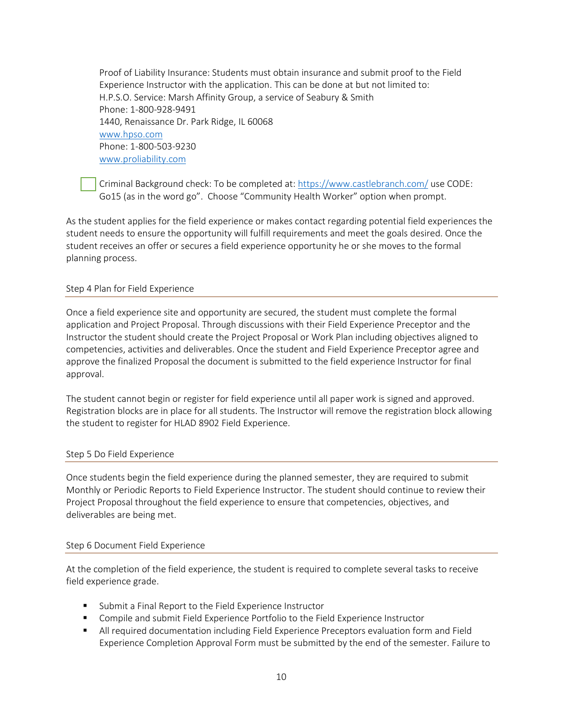Proof of Liability Insurance: Students must obtain insurance and submit proof to the Field Experience Instructor with the application. This can be done at but not limited to: H.P.S.O. Service: Marsh Affinity Group, a service of Seabury & Smith Phone: 1-800-928-9491 1440, Renaissance Dr. Park Ridge, IL 60068 [www.hpso.com](http://www.hpso.com/) Phone: 1-800-503-9230 [www.proliability.com](http://www.proliability.com/)

Criminal Background check: To be completed at: <https://www.castlebranch.com/> use CODE: Go15 (as in the word go". Choose "Community Health Worker" option when prompt.

As the student applies for the field experience or makes contact regarding potential field experiences the student needs to ensure the opportunity will fulfill requirements and meet the goals desired. Once the student receives an offer or secures a field experience opportunity he or she moves to the formal planning process.

#### <span id="page-9-0"></span>Step 4 Plan for Field Experience

Once a field experience site and opportunity are secured, the student must complete the formal application and Project Proposal. Through discussions with their Field Experience Preceptor and the Instructor the student should create the Project Proposal or Work Plan including objectives aligned to competencies, activities and deliverables. Once the student and Field Experience Preceptor agree and approve the finalized Proposal the document is submitted to the field experience Instructor for final approval.

The student cannot begin or register for field experience until all paper work is signed and approved. Registration blocks are in place for all students. The Instructor will remove the registration block allowing the student to register for HLAD 8902 Field Experience.

#### <span id="page-9-1"></span>Step 5 Do Field Experience

Once students begin the field experience during the planned semester, they are required to submit Monthly or Periodic Reports to Field Experience Instructor. The student should continue to review their Project Proposal throughout the field experience to ensure that competencies, objectives, and deliverables are being met.

#### <span id="page-9-2"></span>Step 6 Document Field Experience

At the completion of the field experience, the student is required to complete several tasks to receive field experience grade.

- Submit a Final Report to the Field Experience Instructor
- Compile and submit Field Experience Portfolio to the Field Experience Instructor
- **All required documentation including Field Experience Preceptors evaluation form and Field** Experience Completion Approval Form must be submitted by the end of the semester. Failure to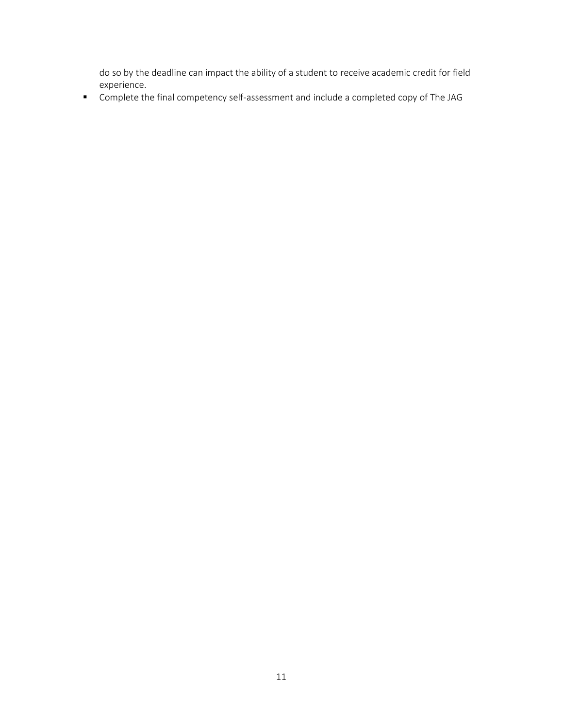do so by the deadline can impact the ability of a student to receive academic credit for field experience.

Complete the final competency self-assessment and include a completed copy of The JAG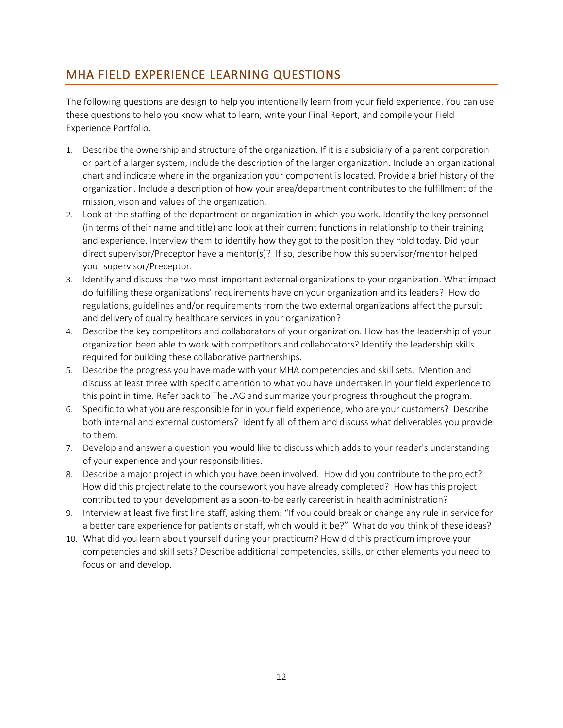# <span id="page-11-0"></span>MHA FIELD EXPERIENCE LEARNING QUESTIONS

The following questions are design to help you intentionally learn from your field experience. You can use these questions to help you know what to learn, write your Final Report, and compile your Field Experience Portfolio.

- 1. Describe the ownership and structure of the organization. If it is a subsidiary of a parent corporation or part of a larger system, include the description of the larger organization. Include an organizational chart and indicate where in the organization your component is located. Provide a brief history of the organization. Include a description of how your area/department contributes to the fulfillment of the mission, vison and values of the organization.
- 2. Look at the staffing of the department or organization in which you work. Identify the key personnel (in terms of their name and title) and look at their current functions in relationship to their training and experience. Interview them to identify how they got to the position they hold today. Did your direct supervisor/Preceptor have a mentor(s)? If so, describe how this supervisor/mentor helped your supervisor/Preceptor.
- 3. Identify and discuss the two most important external organizations to your organization. What impact do fulfilling these organizations' requirements have on your organization and its leaders? How do regulations, guidelines and/or requirements from the two external organizations affect the pursuit and delivery of quality healthcare services in your organization?
- 4. Describe the key competitors and collaborators of your organization. How has the leadership of your organization been able to work with competitors and collaborators? Identify the leadership skills required for building these collaborative partnerships.
- 5. Describe the progress you have made with your MHA competencies and skill sets. Mention and discuss at least three with specific attention to what you have undertaken in your field experience to this point in time. Refer back to The JAG and summarize your progress throughout the program.
- 6. Specific to what you are responsible for in your field experience, who are your customers? Describe both internal and external customers? Identify all of them and discuss what deliverables you provide to them.
- 7. Develop and answer a question you would like to discuss which adds to your reader's understanding of your experience and your responsibilities.
- 8. Describe a major project in which you have been involved. How did you contribute to the project? How did this project relate to the coursework you have already completed? How has this project contributed to your development as a soon-to-be early careerist in health administration?
- 9. Interview at least five first line staff, asking them: "If you could break or change any rule in service for a better care experience for patients or staff, which would it be?" What do you think of these ideas?
- 10. What did you learn about yourself during your practicum? How did this practicum improve your competencies and skill sets? Describe additional competencies, skills, or other elements you need to focus on and develop.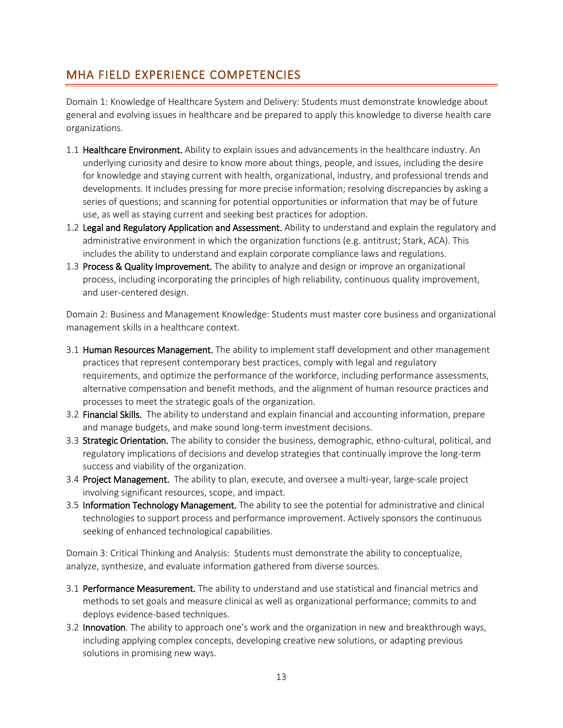# <span id="page-12-0"></span>MHA FIELD EXPERIENCE COMPETENCIES

Domain 1: Knowledge of Healthcare System and Delivery: Students must demonstrate knowledge about general and evolving issues in healthcare and be prepared to apply this knowledge to diverse health care organizations.

- 1.1 **Healthcare Environment.** Ability to explain issues and advancements in the healthcare industry. An underlying curiosity and desire to know more about things, people, and issues, including the desire for knowledge and staying current with health, organizational, industry, and professional trends and developments. It includes pressing for more precise information; resolving discrepancies by asking a series of questions; and scanning for potential opportunities or information that may be of future use, as well as staying current and seeking best practices for adoption.
- 1.2 Legal and Regulatory Application and Assessment. Ability to understand and explain the regulatory and administrative environment in which the organization functions (e.g. antitrust; Stark, ACA). This includes the ability to understand and explain corporate compliance laws and regulations.
- 1.3 Process & Quality Improvement. The ability to analyze and design or improve an organizational process, including incorporating the principles of high reliability, continuous quality improvement, and user-centered design.

Domain 2: Business and Management Knowledge: Students must master core business and organizational management skills in a healthcare context.

- 3.1 Human Resources Management. The ability to implement staff development and other management practices that represent contemporary best practices, comply with legal and regulatory requirements, and optimize the performance of the workforce, including performance assessments, alternative compensation and benefit methods, and the alignment of human resource practices and processes to meet the strategic goals of the organization.
- 3.2 Financial Skills. The ability to understand and explain financial and accounting information, prepare and manage budgets, and make sound long-term investment decisions.
- 3.3 Strategic Orientation. The ability to consider the business, demographic, ethno-cultural, political, and regulatory implications of decisions and develop strategies that continually improve the long-term success and viability of the organization.
- 3.4 Project Management. The ability to plan, execute, and oversee a multi-year, large-scale project involving significant resources, scope, and impact.
- 3.5 Information Technology Management. The ability to see the potential for administrative and clinical technologies to support process and performance improvement. Actively sponsors the continuous seeking of enhanced technological capabilities.

Domain 3: Critical Thinking and Analysis: Students must demonstrate the ability to conceptualize, analyze, synthesize, and evaluate information gathered from diverse sources.

- 3.1 Performance Measurement. The ability to understand and use statistical and financial metrics and methods to set goals and measure clinical as well as organizational performance; commits to and deploys evidence-based techniques.
- 3.2 Innovation. The ability to approach one's work and the organization in new and breakthrough ways, including applying complex concepts, developing creative new solutions, or adapting previous solutions in promising new ways.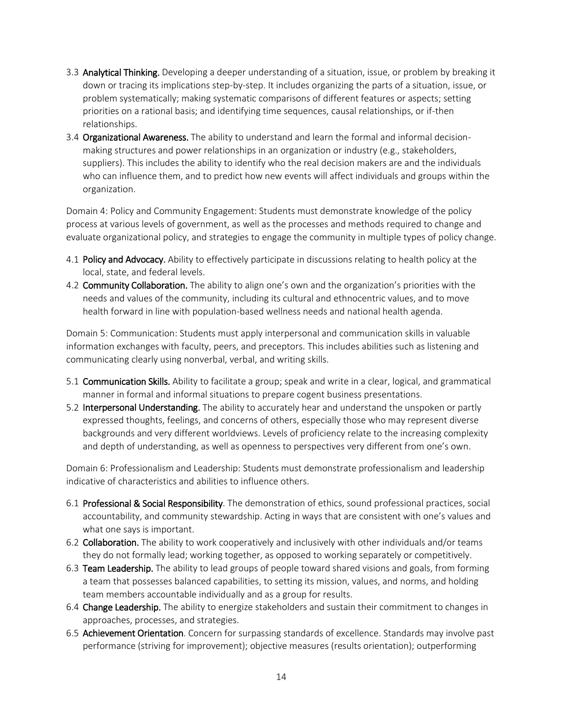- 3.3 Analytical Thinking. Developing a deeper understanding of a situation, issue, or problem by breaking it down or tracing its implications step-by-step. It includes organizing the parts of a situation, issue, or problem systematically; making systematic comparisons of different features or aspects; setting priorities on a rational basis; and identifying time sequences, causal relationships, or if-then relationships.
- 3.4 Organizational Awareness. The ability to understand and learn the formal and informal decisionmaking structures and power relationships in an organization or industry (e.g., stakeholders, suppliers). This includes the ability to identify who the real decision makers are and the individuals who can influence them, and to predict how new events will affect individuals and groups within the organization.

Domain 4: Policy and Community Engagement: Students must demonstrate knowledge of the policy process at various levels of government, as well as the processes and methods required to change and evaluate organizational policy, and strategies to engage the community in multiple types of policy change.

- 4.1 Policy and Advocacy. Ability to effectively participate in discussions relating to health policy at the local, state, and federal levels.
- 4.2 Community Collaboration. The ability to align one's own and the organization's priorities with the needs and values of the community, including its cultural and ethnocentric values, and to move health forward in line with population-based wellness needs and national health agenda.

Domain 5: Communication: Students must apply interpersonal and communication skills in valuable information exchanges with faculty, peers, and preceptors. This includes abilities such as listening and communicating clearly using nonverbal, verbal, and writing skills.

- 5.1 Communication Skills. Ability to facilitate a group; speak and write in a clear, logical, and grammatical manner in formal and informal situations to prepare cogent business presentations.
- 5.2 **Interpersonal Understanding**. The ability to accurately hear and understand the unspoken or partly expressed thoughts, feelings, and concerns of others, especially those who may represent diverse backgrounds and very different worldviews. Levels of proficiency relate to the increasing complexity and depth of understanding, as well as openness to perspectives very different from one's own.

Domain 6: Professionalism and Leadership: Students must demonstrate professionalism and leadership indicative of characteristics and abilities to influence others.

- 6.1 Professional & Social Responsibility. The demonstration of ethics, sound professional practices, social accountability, and community stewardship. Acting in ways that are consistent with one's values and what one says is important.
- 6.2 Collaboration. The ability to work cooperatively and inclusively with other individuals and/or teams they do not formally lead; working together, as opposed to working separately or competitively.
- 6.3 Team Leadership. The ability to lead groups of people toward shared visions and goals, from forming a team that possesses balanced capabilities, to setting its mission, values, and norms, and holding team members accountable individually and as a group for results.
- 6.4 Change Leadership. The ability to energize stakeholders and sustain their commitment to changes in approaches, processes, and strategies.
- 6.5 Achievement Orientation. Concern for surpassing standards of excellence. Standards may involve past performance (striving for improvement); objective measures (results orientation); outperforming